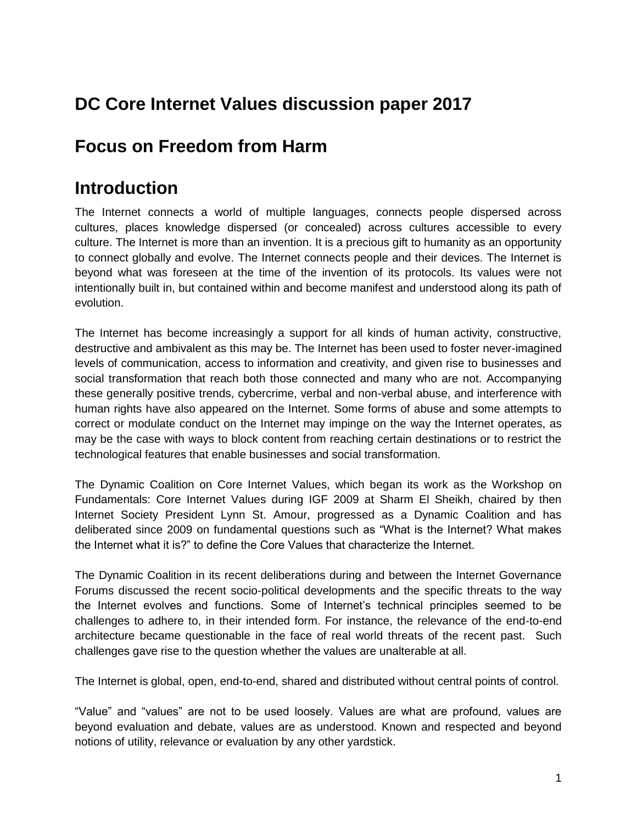## **DC Core Internet Values discussion paper 2017**

## **Focus on Freedom from Harm**

## **Introduction**

The Internet connects a world of multiple languages, connects people dispersed across cultures, places knowledge dispersed (or concealed) across cultures accessible to every culture. The Internet is more than an invention. It is a precious gift to humanity as an opportunity to connect globally and evolve. The Internet connects people and their devices. The Internet is beyond what was foreseen at the time of the invention of its protocols. Its values were not intentionally built in, but contained within and become manifest and understood along its path of evolution.

The Internet has become increasingly a support for all kinds of human activity, constructive, destructive and ambivalent as this may be. The Internet has been used to foster never-imagined levels of communication, access to information and creativity, and given rise to businesses and social transformation that reach both those connected and many who are not. Accompanying these generally positive trends, cybercrime, verbal and non-verbal abuse, and interference with human rights have also appeared on the Internet. Some forms of abuse and some attempts to correct or modulate conduct on the Internet may impinge on the way the Internet operates, as may be the case with ways to block content from reaching certain destinations or to restrict the technological features that enable businesses and social transformation.

The Dynamic Coalition on Core Internet Values, which began its work as the Workshop on Fundamentals: Core Internet Values during IGF 2009 at Sharm El Sheikh, chaired by then Internet Society President Lynn St. Amour, progressed as a Dynamic Coalition and has deliberated since 2009 on fundamental questions such as "What is the Internet? What makes the Internet what it is?" to define the Core Values that characterize the Internet.

The Dynamic Coalition in its recent deliberations during and between the Internet Governance Forums discussed the recent socio-political developments and the specific threats to the way the Internet evolves and functions. Some of Internet's technical principles seemed to be challenges to adhere to, in their intended form. For instance, the relevance of the end-to-end architecture became questionable in the face of real world threats of the recent past. Such challenges gave rise to the question whether the values are unalterable at all.

The Internet is global, open, end-to-end, shared and distributed without central points of control.

"Value" and "values" are not to be used loosely. Values are what are profound, values are beyond evaluation and debate, values are as understood. Known and respected and beyond notions of utility, relevance or evaluation by any other yardstick.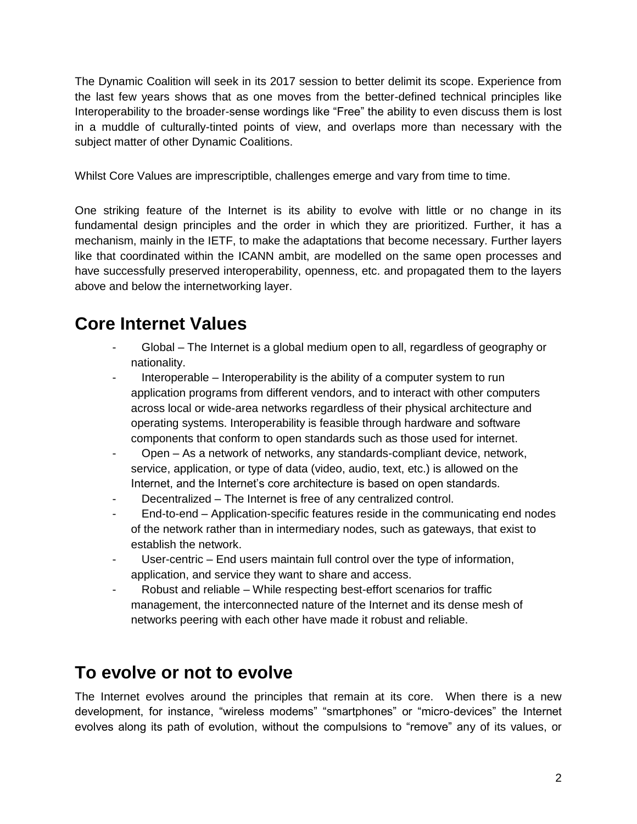The Dynamic Coalition will seek in its 2017 session to better delimit its scope. Experience from the last few years shows that as one moves from the better-defined technical principles like Interoperability to the broader-sense wordings like "Free" the ability to even discuss them is lost in a muddle of culturally-tinted points of view, and overlaps more than necessary with the subject matter of other Dynamic Coalitions.

Whilst Core Values are imprescriptible, challenges emerge and vary from time to time.

One striking feature of the Internet is its ability to evolve with little or no change in its fundamental design principles and the order in which they are prioritized. Further, it has a mechanism, mainly in the IETF, to make the adaptations that become necessary. Further layers like that coordinated within the ICANN ambit, are modelled on the same open processes and have successfully preserved interoperability, openness, etc. and propagated them to the layers above and below the internetworking layer.

# **Core Internet Values**

- Global The Internet is a global medium open to all, regardless of geography or nationality.
- Interoperable Interoperability is the ability of a computer system to run application programs from different vendors, and to interact with other computers across local or wide-area networks regardless of their physical architecture and operating systems. Interoperability is feasible through hardware and software components that conform to open standards such as those used for internet.
- Open As a network of networks, any standards-compliant device, network, service, application, or type of data (video, audio, text, etc.) is allowed on the Internet, and the Internet's core architecture is based on open standards.
- Decentralized The Internet is free of any centralized control.
- End-to-end Application-specific features reside in the communicating end nodes of the network rather than in intermediary nodes, such as gateways, that exist to establish the network.
- User-centric End users maintain full control over the type of information, application, and service they want to share and access.
- Robust and reliable While respecting best-effort scenarios for traffic management, the interconnected nature of the Internet and its dense mesh of networks peering with each other have made it robust and reliable.

# **To evolve or not to evolve**

The Internet evolves around the principles that remain at its core. When there is a new development, for instance, "wireless modems" "smartphones" or "micro-devices" the Internet evolves along its path of evolution, without the compulsions to "remove" any of its values, or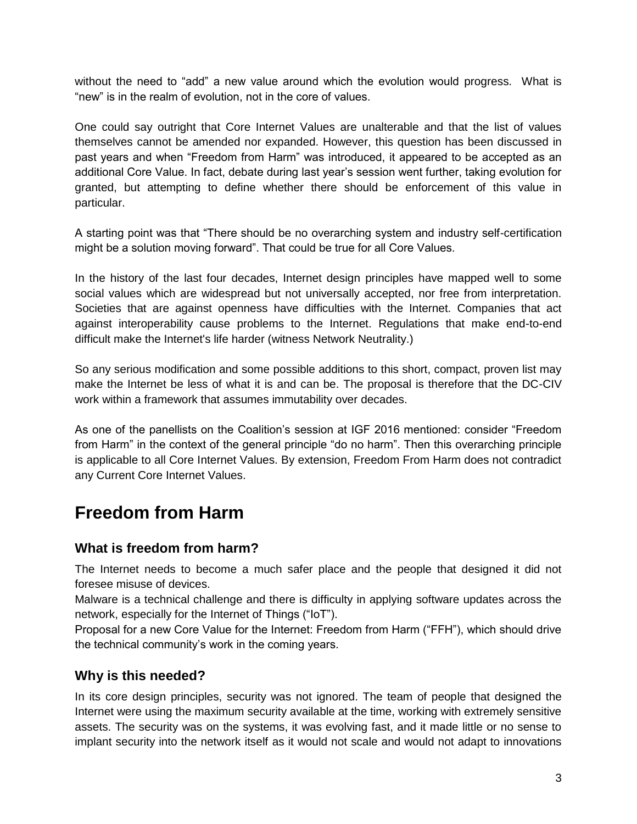without the need to "add" a new value around which the evolution would progress. What is "new" is in the realm of evolution, not in the core of values.

One could say outright that Core Internet Values are unalterable and that the list of values themselves cannot be amended nor expanded. However, this question has been discussed in past years and when "Freedom from Harm" was introduced, it appeared to be accepted as an additional Core Value. In fact, debate during last year's session went further, taking evolution for granted, but attempting to define whether there should be enforcement of this value in particular.

A starting point was that "There should be no overarching system and industry self-certification might be a solution moving forward". That could be true for all Core Values.

In the history of the last four decades, Internet design principles have mapped well to some social values which are widespread but not universally accepted, nor free from interpretation. Societies that are against openness have difficulties with the Internet. Companies that act against interoperability cause problems to the Internet. Regulations that make end-to-end difficult make the Internet's life harder (witness Network Neutrality.)

So any serious modification and some possible additions to this short, compact, proven list may make the Internet be less of what it is and can be. The proposal is therefore that the DC-CIV work within a framework that assumes immutability over decades.

As one of the panellists on the Coalition's session at IGF 2016 mentioned: consider "Freedom from Harm" in the context of the general principle "do no harm". Then this overarching principle is applicable to all Core Internet Values. By extension, Freedom From Harm does not contradict any Current Core Internet Values.

# **Freedom from Harm**

### **What is freedom from harm?**

The Internet needs to become a much safer place and the people that designed it did not foresee misuse of devices.

Malware is a technical challenge and there is difficulty in applying software updates across the network, especially for the Internet of Things ("IoT").

Proposal for a new Core Value for the Internet: Freedom from Harm ("FFH"), which should drive the technical community's work in the coming years.

### **Why is this needed?**

In its core design principles, security was not ignored. The team of people that designed the Internet were using the maximum security available at the time, working with extremely sensitive assets. The security was on the systems, it was evolving fast, and it made little or no sense to implant security into the network itself as it would not scale and would not adapt to innovations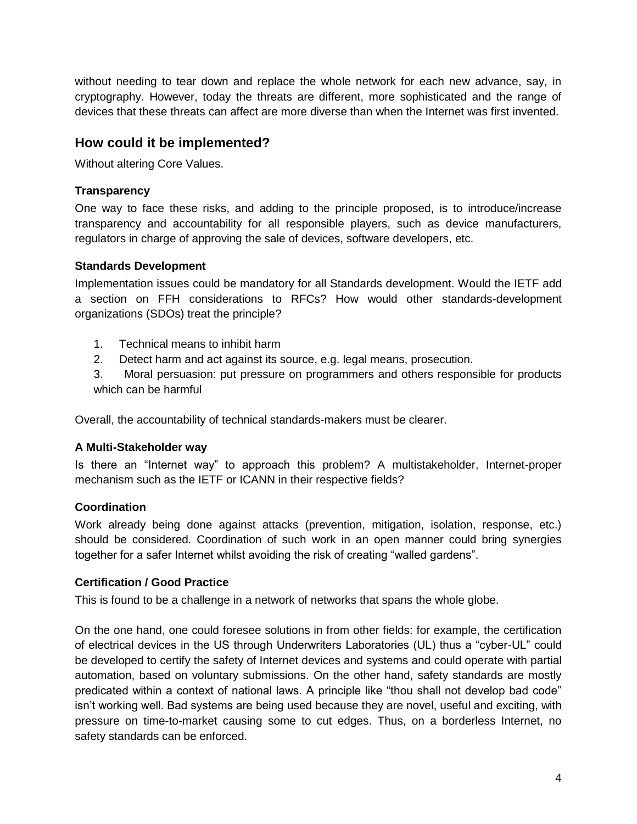without needing to tear down and replace the whole network for each new advance, say, in cryptography. However, today the threats are different, more sophisticated and the range of devices that these threats can affect are more diverse than when the Internet was first invented.

## **How could it be implemented?**

Without altering Core Values.

### **Transparency**

One way to face these risks, and adding to the principle proposed, is to introduce/increase transparency and accountability for all responsible players, such as device manufacturers, regulators in charge of approving the sale of devices, software developers, etc.

### **Standards Development**

Implementation issues could be mandatory for all Standards development. Would the IETF add a section on FFH considerations to RFCs? How would other standards-development organizations (SDOs) treat the principle?

- 1. Technical means to inhibit harm
- 2. Detect harm and act against its source, e.g. legal means, prosecution.

3. Moral persuasion: put pressure on programmers and others responsible for products which can be harmful

Overall, the accountability of technical standards-makers must be clearer.

### **A Multi-Stakeholder way**

Is there an "Internet way" to approach this problem? A multistakeholder, Internet-proper mechanism such as the IETF or ICANN in their respective fields?

### **Coordination**

Work already being done against attacks (prevention, mitigation, isolation, response, etc.) should be considered. Coordination of such work in an open manner could bring synergies together for a safer Internet whilst avoiding the risk of creating "walled gardens".

### **Certification / Good Practice**

This is found to be a challenge in a network of networks that spans the whole globe.

On the one hand, one could foresee solutions in from other fields: for example, the certification of electrical devices in the US through Underwriters Laboratories (UL) thus a "cyber-UL" could be developed to certify the safety of Internet devices and systems and could operate with partial automation, based on voluntary submissions. On the other hand, safety standards are mostly predicated within a context of national laws. A principle like "thou shall not develop bad code" isn't working well. Bad systems are being used because they are novel, useful and exciting, with pressure on time-to-market causing some to cut edges. Thus, on a borderless Internet, no safety standards can be enforced.